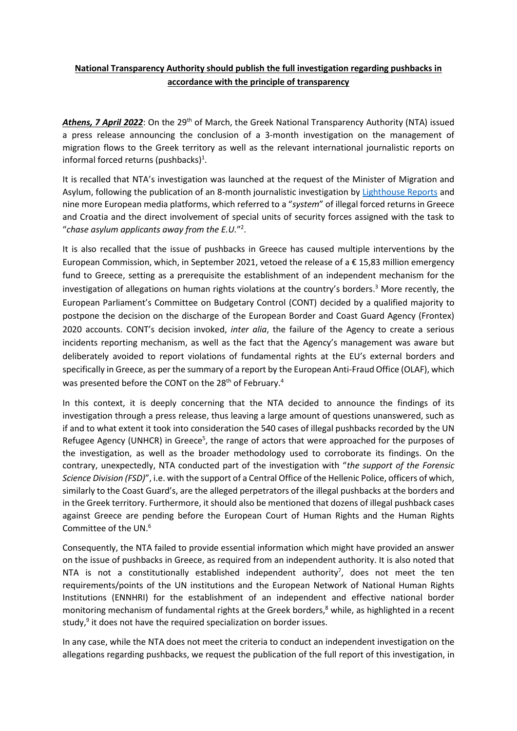## **National Transparency Authority should publish the full investigation regarding pushbacks in accordance with the principle of transparency**

Athens, 7 April 2022: On the 29<sup>th</sup> of March, the Greek National Transparency Authority (NTA) issued a press release announcing the conclusion of a 3-month investigation on the management of migration flows to the Greek territory as well as the relevant international journalistic reports on informal forced returns (pushbacks) $<sup>1</sup>$ .</sup>

It is recalled that NTA's investigation was launched at the request of the Minister of Migration and Asylum, following the publication of an 8-month journalistic investigation by [Lighthouse Reports](https://www.lighthousereports.nl/) and nine more European media platforms, which referred to a "*system*" of illegal forced returns in Greece and Croatia and the direct involvement of special units of security forces assigned with the task to "*chase asylum applicants away from the E.U.*" 2 .

It is also recalled that the issue of pushbacks in Greece has caused multiple interventions by the European Commission, which, in September 2021, vetoed the release of a  $\epsilon$  15,83 million emergency fund to Greece, setting as a prerequisite the establishment of an independent mechanism for the investigation of allegations on human rights violations at the country's borders. <sup>3</sup> More recently, the European Parliament's Committee on Budgetary Control (CONT) decided by a qualified majority to postpone the decision on the discharge of the European Border and Coast Guard Agency (Frontex) 2020 accounts. CONT's decision invoked, *inter alia*, the failure of the Agency to create a serious incidents reporting mechanism, as well as the fact that the Agency's management was aware but deliberately avoided to report violations of fundamental rights at the EU's external borders and specifically in Greece, as per the summary of a report by the European Anti-Fraud Office (OLAF), which was presented before the CONT on the 28<sup>th</sup> of February.<sup>4</sup>

In this context, it is deeply concerning that the NTA decided to announce the findings of its investigation through a press release, thus leaving a large amount of questions unanswered, such as if and to what extent it took into consideration the 540 cases of illegal pushbacks recorded by the UN Refugee Agency (UNHCR) in Greece<sup>5</sup>, the range of actors that were approached for the purposes of the investigation, as well as the broader methodology used to corroborate its findings. On the contrary, unexpectedly, NTA conducted part of the investigation with "*the support of the Forensic Science Division (FSD)*", i.e. with the support of a Central Office of the Hellenic Police, officers of which, similarly to the Coast Guard's, are the alleged perpetrators of the illegal pushbacks at the borders and in the Greek territory. Furthermore, it should also be mentioned that dozens of illegal pushback cases against Greece are pending before the European Court of Human Rights and the Human Rights Committee of the UN.<sup>6</sup>

Consequently, the NTA failed to provide essential information which might have provided an answer on the issue of pushbacks in Greece, as required from an independent authority. It is also noted that NTA is not a constitutionally established independent authority<sup>7</sup>, does not meet the ten requirements/points of the UN institutions and the European Network of National Human Rights Institutions (ENNHRI) for the establishment of an independent and effective national border monitoring mechanism of fundamental rights at the Greek borders, <sup>8</sup> while, as highlighted in a recent study,<sup>9</sup> it does not have the required specialization on border issues.

In any case, while the NTA does not meet the criteria to conduct an independent investigation on the allegations regarding pushbacks, we request the publication of the full report of this investigation, in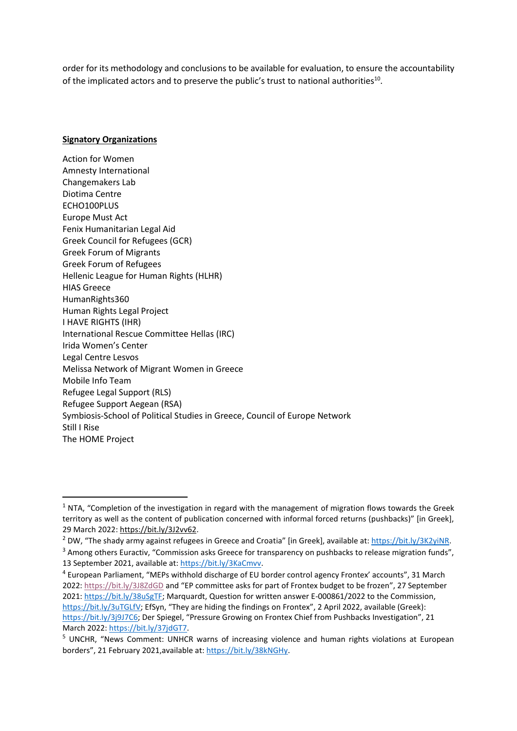order for its methodology and conclusions to be available for evaluation, to ensure the accountability of the implicated actors and to preserve the public's trust to national authorities<sup>10</sup>.

## **Signatory Organizations**

Action for Women Amnesty International Changemakers Lab Diotima Centre ECHO100PLUS Europe Must Act Fenix Humanitarian Legal Aid Greek Council for Refugees (GCR) Greek Forum of Migrants Greek Forum of Refugees Hellenic League for Human Rights (HLHR) HIAS Greece HumanRights360 Human Rights Legal Project I HAVE RIGHTS (IHR) International Rescue Committee Hellas (IRC) Irida Women's Center Legal Centre Lesvos Melissa Network of Migrant Women in Greece Mobile Info Team Refugee Legal Support (RLS) Refugee Support Aegean (RSA) Symbiosis-School of Political Studies in Greece, Council of Europe Network Still I Rise The HOME Project

 $1$  NTA, "Completion of the investigation in regard with the management of migration flows towards the Greek territory as well as the content of publication concerned with informal forced returns (pushbacks)" [in Greek], 29 March 2022: [https://bit.ly/3J2vv62.](https://bit.ly/3J2vv62)

<sup>&</sup>lt;sup>2</sup> DW, "The shady army against refugees in Greece and Croatia" [in Greek], available at: [https://bit.ly/3K2yiNR.](https://bit.ly/3K2yiNR)

<sup>&</sup>lt;sup>3</sup> Among others Euractiv, "Commission asks Greece for transparency on pushbacks to release migration funds", 13 September 2021, available at: [https://bit.ly/3KaCmvv.](https://bit.ly/3KaCmvv)

<sup>&</sup>lt;sup>4</sup> European Parliament, "MEPs withhold discharge of EU border control agency Frontex' accounts", 31 March 2022:<https://bit.ly/3J8ZdGD> and "EP committee asks for part of Frontex budget to be frozen", 27 September 2021: [https://bit.ly/38uSgTF;](https://bit.ly/38uSgTF) Marquardt, Question for written answer E-000861/2022 to the Commission, <https://bit.ly/3uTGLfV>; EfSyn, "They are hiding the findings on Frontex", 2 April 2022, available (Greek): <https://bit.ly/3j9J7C6>; Der Spiegel, "Pressure Growing on Frontex Chief from Pushbacks Investigation", 21 March 2022: [https://bit.ly/37jdGT7.](https://bit.ly/37jdGT7)

<sup>&</sup>lt;sup>5</sup> UNCHR, "News Comment: UNHCR warns of increasing violence and human rights violations at European borders", 21 February 2021,available at[: https://bit.ly/38kNGHy.](https://bit.ly/38kNGHy)